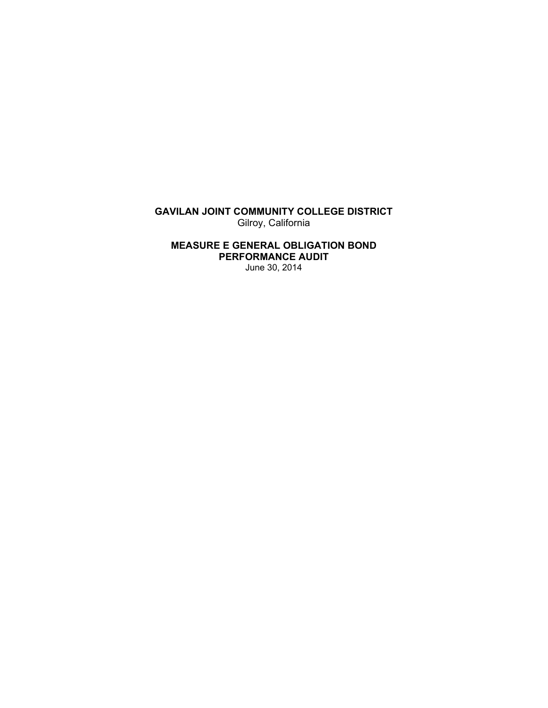**GAVILAN JOINT COMMUNITY COLLEGE DISTRICT**  Gilroy, California

**MEASURE E GENERAL OBLIGATION BOND PERFORMANCE AUDIT**  June 30, 2014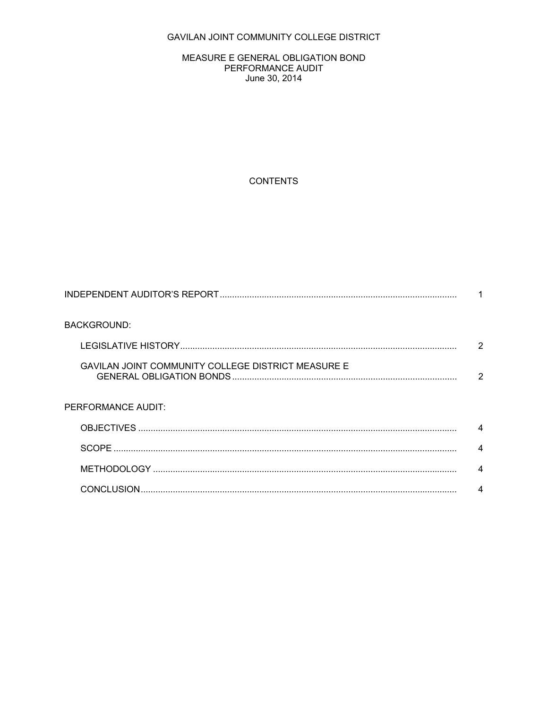# GAVILAN JOINT COMMUNITY COLLEGE DISTRICT

#### MEASURE E GENERAL OBLIGATION BOND PERFORMANCE AUDIT June 30, 2014

## **CONTENTS**

| <b>BACKGROUND:</b>                                        |   |
|-----------------------------------------------------------|---|
|                                                           | 2 |
| <b>GAVILAN JOINT COMMUNITY COLLEGE DISTRICT MEASURE E</b> | 2 |
| PERFORMANCE AUDIT:                                        |   |
|                                                           | 4 |
|                                                           | 4 |
|                                                           |   |
|                                                           |   |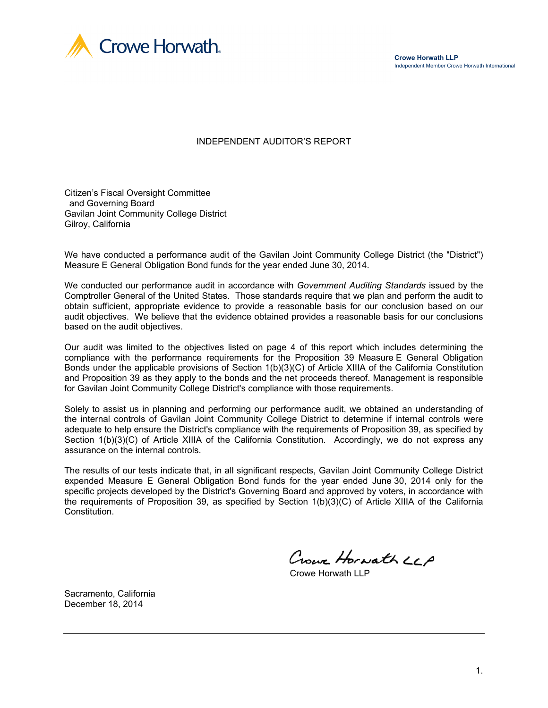

**Crowe Horwath LLP** Independent Member Crowe Horwath International

INDEPENDENT AUDITOR'S REPORT

Citizen's Fiscal Oversight Committee and Governing Board Gavilan Joint Community College District Gilroy, California

We have conducted a performance audit of the Gavilan Joint Community College District (the "District") Measure E General Obligation Bond funds for the year ended June 30, 2014.

We conducted our performance audit in accordance with *Government Auditing Standards* issued by the Comptroller General of the United States. Those standards require that we plan and perform the audit to obtain sufficient, appropriate evidence to provide a reasonable basis for our conclusion based on our audit objectives. We believe that the evidence obtained provides a reasonable basis for our conclusions based on the audit objectives.

Our audit was limited to the objectives listed on page 4 of this report which includes determining the compliance with the performance requirements for the Proposition 39 Measure E General Obligation Bonds under the applicable provisions of Section 1(b)(3)(C) of Article XIIIA of the California Constitution and Proposition 39 as they apply to the bonds and the net proceeds thereof. Management is responsible for Gavilan Joint Community College District's compliance with those requirements.

Solely to assist us in planning and performing our performance audit, we obtained an understanding of the internal controls of Gavilan Joint Community College District to determine if internal controls were adequate to help ensure the District's compliance with the requirements of Proposition 39, as specified by Section 1(b)(3)(C) of Article XIIIA of the California Constitution. Accordingly, we do not express any assurance on the internal controls.

The results of our tests indicate that, in all significant respects, Gavilan Joint Community College District expended Measure E General Obligation Bond funds for the year ended June 30, 2014 only for the specific projects developed by the District's Governing Board and approved by voters, in accordance with the requirements of Proposition 39, as specified by Section 1(b)(3)(C) of Article XIIIA of the California Constitution.

Crown Horwath LLA

Crowe Horwath LLF

Sacramento, California December 18, 2014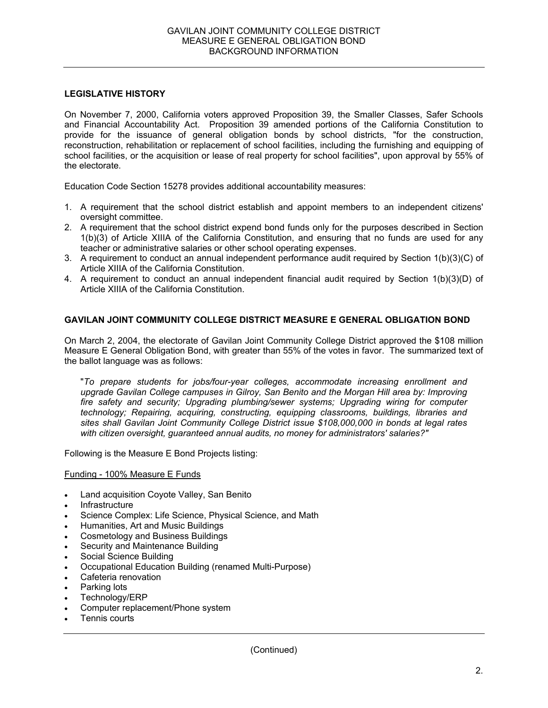#### **LEGISLATIVE HISTORY**

On November 7, 2000, California voters approved Proposition 39, the Smaller Classes, Safer Schools and Financial Accountability Act. Proposition 39 amended portions of the California Constitution to provide for the issuance of general obligation bonds by school districts, "for the construction, reconstruction, rehabilitation or replacement of school facilities, including the furnishing and equipping of school facilities, or the acquisition or lease of real property for school facilities", upon approval by 55% of the electorate.

Education Code Section 15278 provides additional accountability measures:

- 1. A requirement that the school district establish and appoint members to an independent citizens' oversight committee.
- 2. A requirement that the school district expend bond funds only for the purposes described in Section 1(b)(3) of Article XIIIA of the California Constitution, and ensuring that no funds are used for any teacher or administrative salaries or other school operating expenses.
- 3. A requirement to conduct an annual independent performance audit required by Section 1(b)(3)(C) of Article XIIIA of the California Constitution.
- 4. A requirement to conduct an annual independent financial audit required by Section 1(b)(3)(D) of Article XIIIA of the California Constitution.

## **GAVILAN JOINT COMMUNITY COLLEGE DISTRICT MEASURE E GENERAL OBLIGATION BOND**

On March 2, 2004, the electorate of Gavilan Joint Community College District approved the \$108 million Measure E General Obligation Bond, with greater than 55% of the votes in favor. The summarized text of the ballot language was as follows:

"*To prepare students for jobs/four-year colleges, accommodate increasing enrollment and upgrade Gavilan College campuses in Gilroy, San Benito and the Morgan Hill area by: Improving fire safety and security; Upgrading plumbing/sewer systems; Upgrading wiring for computer technology; Repairing, acquiring, constructing, equipping classrooms, buildings, libraries and sites shall Gavilan Joint Community College District issue \$108,000,000 in bonds at legal rates with citizen oversight, guaranteed annual audits, no money for administrators' salaries?"* 

Following is the Measure E Bond Projects listing:

#### Funding - 100% Measure E Funds

- Land acquisition Coyote Valley, San Benito
- **Infrastructure**
- Science Complex: Life Science, Physical Science, and Math
- Humanities, Art and Music Buildings
- Cosmetology and Business Buildings
- Security and Maintenance Building
- Social Science Building
- Occupational Education Building (renamed Multi-Purpose)
- Cafeteria renovation
- Parking lots
- Technology/ERP
- Computer replacement/Phone system
- Tennis courts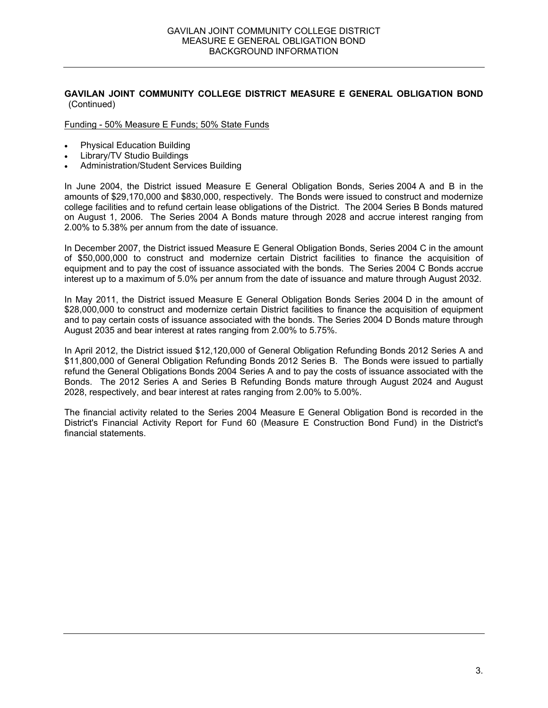### **GAVILAN JOINT COMMUNITY COLLEGE DISTRICT MEASURE E GENERAL OBLIGATION BOND** (Continued)

Funding - 50% Measure E Funds; 50% State Funds

- Physical Education Building
- Library/TV Studio Buildings
- Administration/Student Services Building

In June 2004, the District issued Measure E General Obligation Bonds, Series 2004 A and B in the amounts of \$29,170,000 and \$830,000, respectively. The Bonds were issued to construct and modernize college facilities and to refund certain lease obligations of the District. The 2004 Series B Bonds matured on August 1, 2006. The Series 2004 A Bonds mature through 2028 and accrue interest ranging from 2.00% to 5.38% per annum from the date of issuance.

In December 2007, the District issued Measure E General Obligation Bonds, Series 2004 C in the amount of \$50,000,000 to construct and modernize certain District facilities to finance the acquisition of equipment and to pay the cost of issuance associated with the bonds. The Series 2004 C Bonds accrue interest up to a maximum of 5.0% per annum from the date of issuance and mature through August 2032.

In May 2011, the District issued Measure E General Obligation Bonds Series 2004 D in the amount of \$28,000,000 to construct and modernize certain District facilities to finance the acquisition of equipment and to pay certain costs of issuance associated with the bonds. The Series 2004 D Bonds mature through August 2035 and bear interest at rates ranging from 2.00% to 5.75%.

In April 2012, the District issued \$12,120,000 of General Obligation Refunding Bonds 2012 Series A and \$11,800,000 of General Obligation Refunding Bonds 2012 Series B. The Bonds were issued to partially refund the General Obligations Bonds 2004 Series A and to pay the costs of issuance associated with the Bonds. The 2012 Series A and Series B Refunding Bonds mature through August 2024 and August 2028, respectively, and bear interest at rates ranging from 2.00% to 5.00%.

The financial activity related to the Series 2004 Measure E General Obligation Bond is recorded in the District's Financial Activity Report for Fund 60 (Measure E Construction Bond Fund) in the District's financial statements.